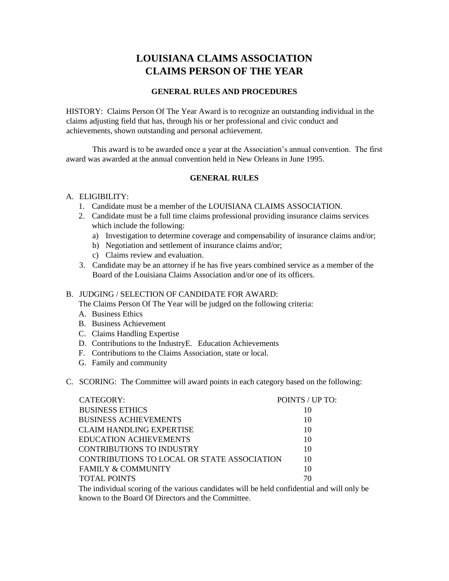# **LOUISIANA CLAIMS ASSOCIATION CLAIMS PERSON OF THE YEAR**

## **GENERAL RULES AND PROCEDURES**

HISTORY: Claims Person Of The Year Award is to recognize an outstanding individual in the claims adjusting field that has, through his or her professional and civic conduct and achievements, shown outstanding and personal achievement.

This award is to be awarded once a year at the Association's annual convention. The first award was awarded at the annual convention held in New Orleans in June 1995.

## **GENERAL RULES**

#### A. ELIGIBILITY:

- 1. Candidate must be a member of the LOUISIANA CLAIMS ASSOCIATION.
- 2. Candidate must be a full time claims professional providing insurance claims services which include the following:
	- a) Investigation to determine coverage and compensability of insurance claims and/or;
	- b) Negotiation and settlement of insurance claims and/or;
	- c) Claims review and evaluation.
- 3. Candidate may be an attorney if he has five years combined service as a member of the Board of the Louisiana Claims Association and/or one of its officers.

## B. JUDGING / SELECTION OF CANDIDATE FOR AWARD:

The Claims Person Of The Year will be judged on the following criteria:

- A. Business Ethics
- B. Business Achievement
- C. Claims Handling Expertise
- D. Contributions to the IndustryE. Education Achievements
- F. Contributions to the Claims Association, state or local.
- G. Family and community
- C. SCORING: The Committee will award points in each category based on the following:

| CATEGORY:                                   | POINTS / UP TO: |
|---------------------------------------------|-----------------|
| <b>BUSINESS ETHICS</b>                      | 10              |
| <b>BUSINESS ACHIEVEMENTS</b>                | 10              |
| <b>CLAIM HANDLING EXPERTISE</b>             | 10              |
| EDUCATION ACHIEVEMENTS                      | 10              |
| CONTRIBUTIONS TO INDUSTRY                   | 10              |
| CONTRIBUTIONS TO LOCAL OR STATE ASSOCIATION | 10              |
| <b>FAMILY &amp; COMMUNITY</b>               | 10              |
| <b>TOTAL POINTS</b>                         | 70              |

The individual scoring of the various candidates will be held confidential and will only be known to the Board Of Directors and the Committee.